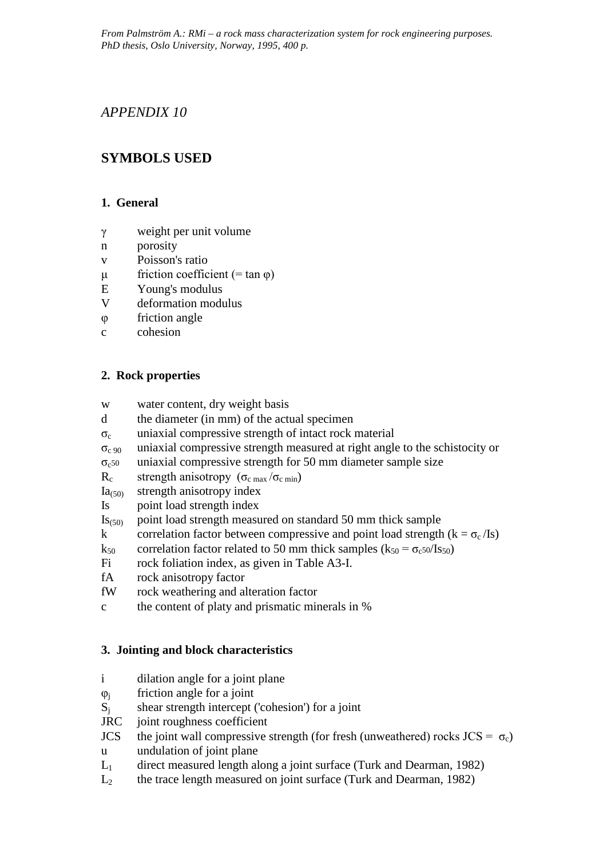*From Palmström A.: RMi – a rock mass characterization system for rock engineering purposes. PhD thesis, Oslo University, Norway, 1995, 400 p.*

## *APPENDIX 10*

# **SYMBOLS USED**

### **1. General**

- γ weight per unit volume
- n porosity
- v Poisson's ratio
- $μ$  friction coefficient (= tan  $φ$ )
- E Young's modulus
- V deformation modulus
- φ friction angle
- c cohesion

## **2. Rock properties**

- w water content, dry weight basis
- d the diameter (in mm) of the actual specimen
- $\sigma_c$  uniaxial compressive strength of intact rock material
- $\sigma_{c,90}$  uniaxial compressive strength measured at right angle to the schistocity or
- $\sigma_{c50}$  uniaxial compressive strength for 50 mm diameter sample size

R<sub>c</sub> strength anisotropy ( $\sigma_{c \text{ max}}/\sigma_{c \text{ min}}$ )

- $Ia_{(50)}$  strength anisotropy index
- Is point load strength index
- $\text{Is}_{(50)}$  point load strength measured on standard 50 mm thick sample
- k correlation factor between compressive and point load strength  $(k = \sigma_c / I_s)$
- $k_{50}$  correlation factor related to 50 mm thick samples ( $k_{50} = \sigma_{c50}/Is_{50}$ )
- Fi rock foliation index, as given in Table A3-I.
- fA rock anisotropy factor
- fW rock weathering and alteration factor
- c the content of platy and prismatic minerals in %

## **3. Jointing and block characteristics**

- i dilation angle for a joint plane
- $\varphi_i$  friction angle for a joint
- $S_i$  shear strength intercept ('cohesion') for a joint
- JRC joint roughness coefficient
- JCS the joint wall compressive strength (for fresh (unweathered) rocks JCS =  $\sigma_c$ ) u undulation of joint plane
- $L_1$  direct measured length along a joint surface (Turk and Dearman, 1982)
- $L<sub>2</sub>$  the trace length measured on joint surface (Turk and Dearman, 1982)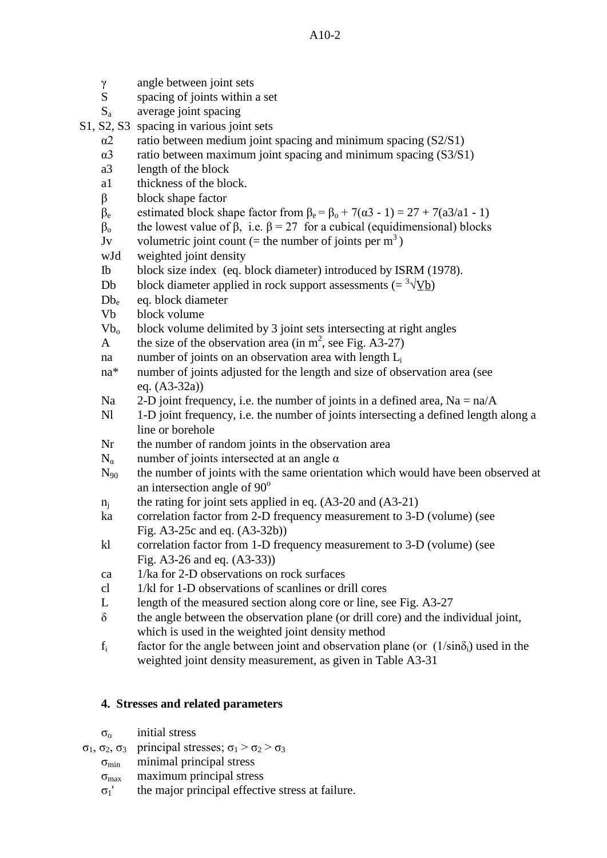| γ                       | angle between joint sets                                                                                |
|-------------------------|---------------------------------------------------------------------------------------------------------|
| S                       | spacing of joints within a set                                                                          |
| $\mathbf{S}_{\text{a}}$ | average joint spacing                                                                                   |
|                         | S1, S2, S3 spacing in various joint sets                                                                |
| $\alpha$ 2              | ratio between medium joint spacing and minimum spacing (S2/S1)                                          |
| $\alpha$ 3              | ratio between maximum joint spacing and minimum spacing (S3/S1)                                         |
| a3                      | length of the block                                                                                     |
| a1                      | thickness of the block.                                                                                 |
| $\beta$                 | block shape factor                                                                                      |
| $\beta_e$               | estimated block shape factor from $\beta_e = \beta_o + 7(\alpha 3 - 1) = 27 + 7(\alpha 3/\alpha 1 - 1)$ |
| $\beta_{o}$             | the lowest value of $\beta$ , i.e. $\beta = 27$ for a cubical (equidimensional) blocks                  |
| $\mathbf{J}\mathbf{v}$  | volumetric joint count (= the number of joints per $m3$ )                                               |
| wJd                     | weighted joint density                                                                                  |
| $_{\text{Ib}}$          | block size index (eq. block diameter) introduced by ISRM (1978).                                        |
| Db                      | block diameter applied in rock support assessments (= $\sqrt[3]{\text{y}_b}$ )                          |
| $Db_e$                  | eq. block diameter                                                                                      |
| Vb                      | block volume                                                                                            |
| $Vb_{o}$                | block volume delimited by 3 joint sets intersecting at right angles                                     |
| A                       | the size of the observation area (in $m^2$ , see Fig. A3-27)                                            |
| na                      | number of joints on an observation area with length L <sub>i</sub>                                      |
| $na*$                   | number of joints adjusted for the length and size of observation area (see                              |
|                         | eq. $(A3-32a)$                                                                                          |
| Na                      | 2-D joint frequency, i.e. the number of joints in a defined area, $Na = na/A$                           |
| N1                      | 1-D joint frequency, i.e. the number of joints intersecting a defined length along a                    |
|                         | line or borehole                                                                                        |
| Nr                      | the number of random joints in the observation area                                                     |
| $N_{\alpha}$            | number of joints intersected at an angle $\alpha$                                                       |
| $N_{90}$                | the number of joints with the same orientation which would have been observed at                        |
|                         | an intersection angle of 90°                                                                            |
| $n_j$                   | the rating for joint sets applied in eq. $(A3-20$ and $(A3-21)$                                         |
| ka                      | correlation factor from 2-D frequency measurement to 3-D (volume) (see                                  |
|                         | Fig. A3-25c and eq. (A3-32b))                                                                           |
| kl                      | correlation factor from 1-D frequency measurement to 3-D (volume) (see                                  |
|                         | Fig. A3-26 and eq. (A3-33))<br>1/ka for 2-D observations on rock surfaces                               |
| ca                      | 1/kl for 1-D observations of scanlines or drill cores                                                   |
| cl<br>L                 |                                                                                                         |
| $\delta$                | length of the measured section along core or line, see Fig. A3-27                                       |
|                         | the angle between the observation plane (or drill core) and the individual joint,                       |
|                         | which is used in the weighted joint density method                                                      |

 $f_i$  factor for the angle between joint and observation plane (or  $(1/\sin\delta_i)$ ) used in the weighted joint density measurement, as given in Table A3-31

# **4. Stresses and related parameters**

- $\sigma$ <sub>o</sub> initial stress
- σ<sub>1</sub>, σ<sub>2</sub>, σ<sub>3</sub> principal stresses; σ<sub>1</sub> > σ<sub>2</sub> > σ<sub>3</sub>
	- $\sigma_{\min}$  minimal principal stress
	- $\sigma_{\text{max}}$  maximum principal stress
	- $\sigma_1$ ' the major principal effective stress at failure.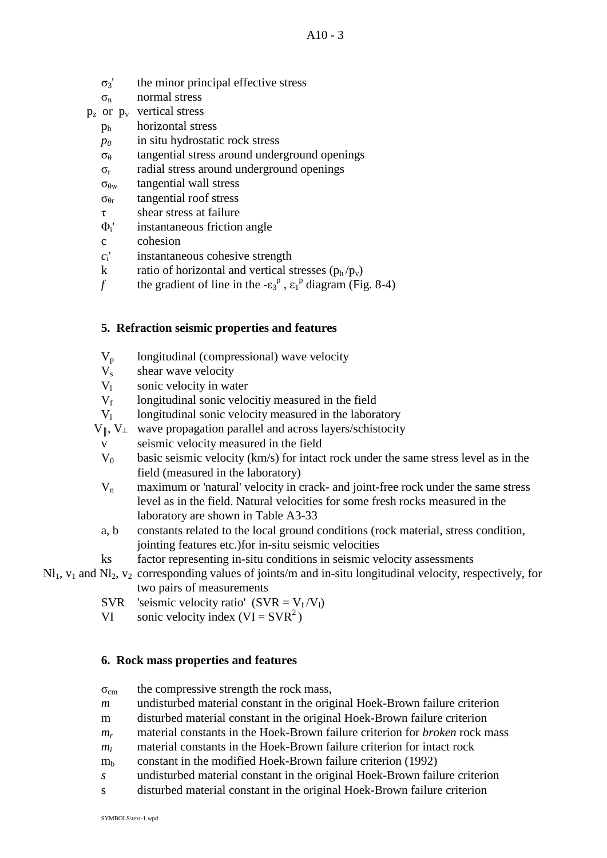- $\sigma_3$  the minor principal effective stress
- $\sigma_{\rm n}$  normal stress

 $p_z$  or  $p_y$  vertical stress

- ph horizontal stress
- *p0* in situ hydrostatic rock stress
- $\sigma_{\theta}$  tangential stress around underground openings
- $\sigma_{r}$  radial stress around underground openings
- $\sigma_{\theta w}$  tangential wall stress
- $\sigma_{\theta r}$  tangential roof stress
- τ shear stress at failure
- $\Phi_i$ <sup>'</sup> instantaneous friction angle
- c cohesion
- *c*i' instantaneous cohesive strength
- k ratio of horizontal and vertical stresses  $(p_h / p_v)$
- *f* the gradient of line in the  $-\epsilon_3^p$ ,  $\epsilon_1^p$  diagram (Fig. 8-4)

#### **5. Refraction seismic properties and features**

- $V_p$  longitudinal (compressional) wave velocity<br> $V_s$  shear wave velocity
- shear wave velocity
- $V_1$  sonic velocity in water
- $V_f$  longitudinal sonic velocitive measured in the field
- $V_1$  longitudinal sonic velocity measured in the laboratory
- $V_{\parallel}$ ,  $V_{\perp}$  wave propagation parallel and across layers/schistocity
	- v seismic velocity measured in the field
	- $V_0$  basic seismic velocity (km/s) for intact rock under the same stress level as in the field (measured in the laboratory)
	- $V_n$  maximum or 'natural' velocity in crack- and joint-free rock under the same stress level as in the field. Natural velocities for some fresh rocks measured in the laboratory are shown in Table A3-33
	- a, b constants related to the local ground conditions (rock material, stress condition, jointing features etc.)for in-situ seismic velocities
	- ks factor representing in-situ conditions in seismic velocity assessments
- $Nl_1$ ,  $v_1$  and  $Nl_2$ ,  $v_2$  corresponding values of joints/m and in-situ longitudinal velocity, respectively, for two pairs of measurements
	- SVR 'seismic velocity ratio' (SVR =  $V_f/V_l$ )
	- VI sonic velocity index  $(VI = SVR<sup>2</sup>)$

#### **6. Rock mass properties and features**

- $\sigma_{\rm cm}$  the compressive strength the rock mass,
- *m* undisturbed material constant in the original Hoek-Brown failure criterion
- m disturbed material constant in the original Hoek-Brown failure criterion
- *mr* material constants in the Hoek-Brown failure criterion for *broken* rock mass
- *mi* material constants in the Hoek-Brown failure criterion for intact rock
- $m_b$  constant in the modified Hoek-Brown failure criterion (1992)
- *s* undisturbed material constant in the original Hoek-Brown failure criterion
- s disturbed material constant in the original Hoek-Brown failure criterion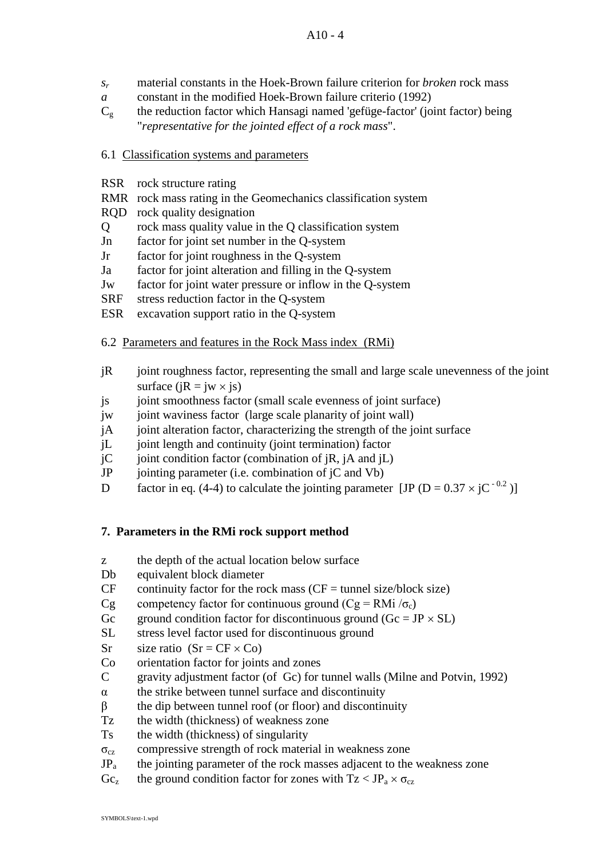- *sr* material constants in the Hoek-Brown failure criterion for *broken* rock mass
- *a* constant in the modified Hoek-Brown failure criterio (1992)
- $C_g$  the reduction factor which Hansagi named 'gefüge-factor' (joint factor) being "*representative for the jointed effect of a rock mass*".
- 6.1 Classification systems and parameters
- RSR rock structure rating
- RMR rock mass rating in the Geomechanics classification system
- RQD rock quality designation
- Q rock mass quality value in the Q classification system
- Jn factor for joint set number in the Q-system
- Jr factor for joint roughness in the Q-system
- Ja factor for joint alteration and filling in the Q-system
- Jw factor for joint water pressure or inflow in the Q-system
- SRF stress reduction factor in the Q-system
- ESR excavation support ratio in the Q-system

#### 6.2 Parameters and features in the Rock Mass index (RMi)

- jR joint roughness factor, representing the small and large scale unevenness of the joint surface ( $iR = iw \times i$ s)
- js joint smoothness factor (small scale evenness of joint surface)
- jw joint waviness factor (large scale planarity of joint wall)
- jA joint alteration factor, characterizing the strength of the joint surface
- jL joint length and continuity (joint termination) factor
- jC ioint condition factor (combination of jR, jA and jL)
- JP jointing parameter (i.e. combination of jC and Vb)
- D factor in eq. (4-4) to calculate the jointing parameter [JP ( $D = 0.37 \times iC^{-0.2}$ )]

## **7. Parameters in the RMi rock support method**

- z the depth of the actual location below surface
- Db equivalent block diameter
- $CF$  continuity factor for the rock mass ( $CF =$  tunnel size/block size)
- Cg competency factor for continuous ground (Cg = RMi  $/\sigma_c$ )
- Gc ground condition factor for discontinuous ground  $(Gc = JP \times SL)$
- SL stress level factor used for discontinuous ground
- Sr size ratio  $(Sr = CF \times Co)$
- Co orientation factor for joints and zones
- C gravity adjustment factor (of Gc) for tunnel walls (Milne and Potvin, 1992)
- $\alpha$  the strike between tunnel surface and discontinuity
- $\beta$  the dip between tunnel roof (or floor) and discontinuity
- Tz the width (thickness) of weakness zone
- Ts the width (thickness) of singularity
- $\sigma_{cz}$  compressive strength of rock material in weakness zone
- $JP<sub>a</sub>$  the jointing parameter of the rock masses adjacent to the weakness zone
- $Gc<sub>z</sub>$  the ground condition factor for zones with  $Tz < JP<sub>a</sub> \times \sigma_{cz}$